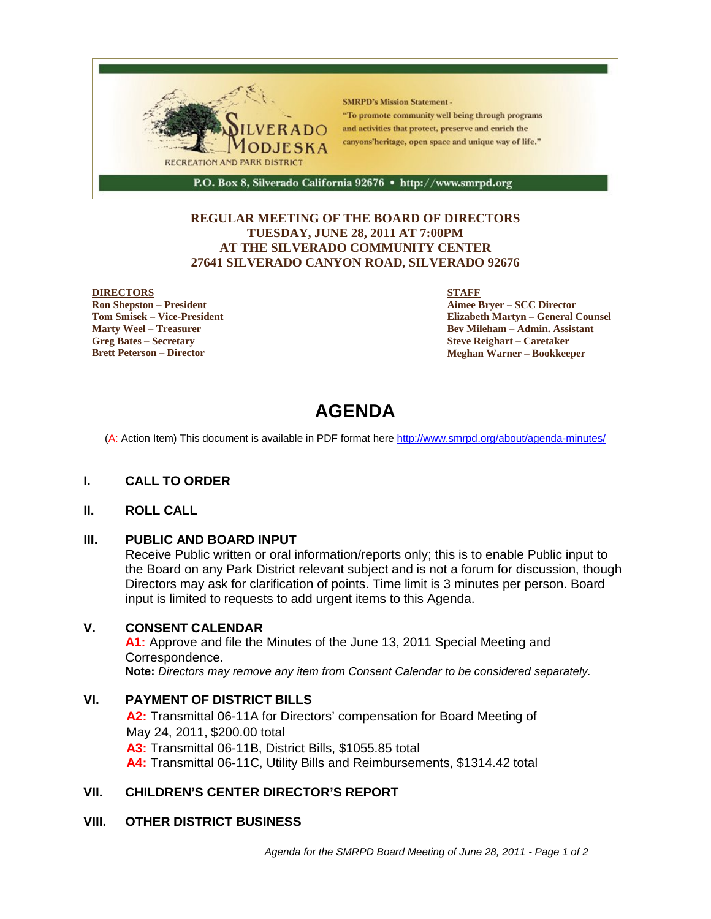

### **REGULAR MEETING OF THE BOARD OF DIRECTORS TUESDAY, JUNE 28, 2011 AT 7:00PM AT THE SILVERADO COMMUNITY CENTER 27641 SILVERADO CANYON ROAD, SILVERADO 92676**

#### **DIRECTORS**

**Ron Shepston – President Tom Smisek – Vice-President Marty Weel – Treasurer Greg Bates – Secretary Brett Peterson – Director**

#### **STAFF**

**Aimee Bryer – SCC Director Elizabeth Martyn – General Counsel Bev Mileham – Admin. Assistant Steve Reighart – Caretaker Meghan Warner – Bookkeeper**

# **AGENDA**

(A: Action Item) This document is available in PDF format here http://www.smrpd.org/about/agenda-minutes/

### **I. CALL TO ORDER**

#### **II. ROLL CALL**

### **III. PUBLIC AND BOARD INPUT**

Receive Public written or oral information/reports only; this is to enable Public input to the Board on any Park District relevant subject and is not a forum for discussion, though Directors may ask for clarification of points. Time limit is 3 minutes per person. Board input is limited to requests to add urgent items to this Agenda.

#### **V. CONSENT CALENDAR**

**A1:** Approve and file the Minutes of the June 13, 2011 Special Meeting and Correspondence. **Note:** *Directors may remove any item from Consent Calendar to be considered separately.*

### **VI. PAYMENT OF DISTRICT BILLS**

**A2:** Transmittal 06-11A for Directors' compensation for Board Meeting of May 24, 2011, \$200.00 total **A3:** Transmittal 06-11B, District Bills, \$1055.85 total **A4:** Transmittal 06-11C, Utility Bills and Reimbursements, \$1314.42 total

# **VII. CHILDREN'S CENTER DIRECTOR'S REPORT**

### **VIII. OTHER DISTRICT BUSINESS**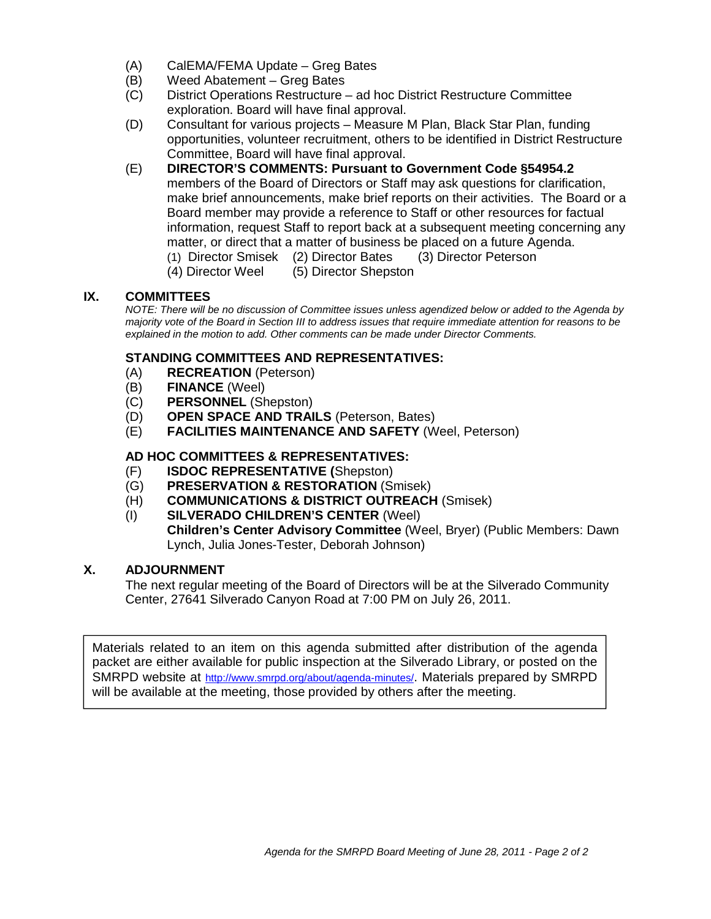- (A) CalEMA/FEMA Update Greg Bates
- (B) Weed Abatement Greg Bates
- (C) District Operations Restructure ad hoc District Restructure Committee exploration. Board will have final approval.
- (D) Consultant for various projects Measure M Plan, Black Star Plan, funding opportunities, volunteer recruitment, others to be identified in District Restructure Committee, Board will have final approval.
- (E) **DIRECTOR'S COMMENTS: Pursuant to Government Code §54954.2** members of the Board of Directors or Staff may ask questions for clarification, make brief announcements, make brief reports on their activities. The Board or a Board member may provide a reference to Staff or other resources for factual information, request Staff to report back at a subsequent meeting concerning any matter, or direct that a matter of business be placed on a future Agenda.
	- (1) Director Smisek (2) Director Bates (3) Director Peterson
	- (4) Director Weel (5) Director Shepston

# **IX. COMMITTEES**

*NOTE: There will be no discussion of Committee issues unless agendized below or added to the Agenda by majority vote of the Board in Section III to address issues that require immediate attention for reasons to be explained in the motion to add. Other comments can be made under Director Comments.*

# **STANDING COMMITTEES AND REPRESENTATIVES:**

- (A) **RECREATION** (Peterson)
- (B) **FINANCE** (Weel)
- (C) **PERSONNEL** (Shepston)
- (D) **OPEN SPACE AND TRAILS** (Peterson, Bates)
- (E) **FACILITIES MAINTENANCE AND SAFETY** (Weel, Peterson)

### **AD HOC COMMITTEES & REPRESENTATIVES:**

- (F) **ISDOC REPRESENTATIVE (**Shepston)
- (G) **PRESERVATION & RESTORATION** (Smisek)
- (H) **COMMUNICATIONS & DISTRICT OUTREACH** (Smisek)
- (I) **SILVERADO CHILDREN'S CENTER** (Weel) **Children's Center Advisory Committee** (Weel, Bryer) (Public Members: Dawn Lynch, Julia Jones-Tester, Deborah Johnson)

## **X. ADJOURNMENT**

The next regular meeting of the Board of Directors will be at the Silverado Community Center, 27641 Silverado Canyon Road at 7:00 PM on July 26, 2011.

Materials related to an item on this agenda submitted after distribution of the agenda packet are either available for public inspection at the Silverado Library, or posted on the SMRPD website at http://www.smrpd.org/about/agenda-minutes/. Materials prepared by SMRPD will be available at the meeting, those provided by others after the meeting.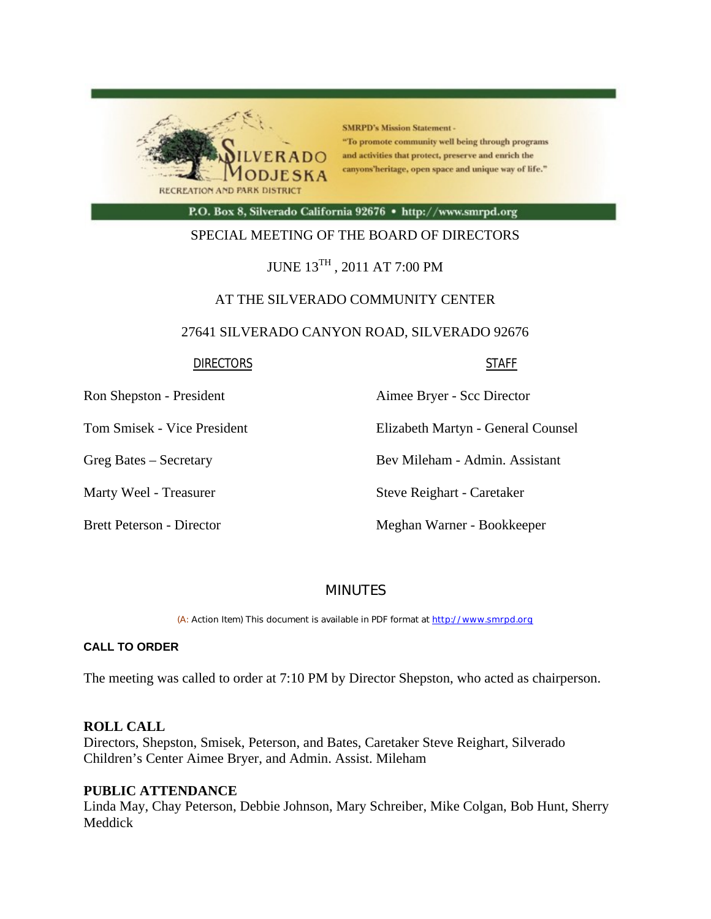

**SMRPD's Mission Statement -**"To promote community well being through programs and activities that protect, preserve and enrich the canyons'heritage, open space and unique way of life."

P.O. Box 8, Silverado California 92676 · http://www.smrpd.org

## SPECIAL MEETING OF THE BOARD OF DIRECTORS

# JUNE 13TH , 2011 AT 7:00 PM

# AT THE SILVERADO COMMUNITY CENTER

### 27641 SILVERADO CANYON ROAD, SILVERADO 92676

#### **DIRECTORS** STAFF

Ron Shepston - President Aimee Bryer - Scc Director

Tom Smisek - Vice President Elizabeth Martyn - General Counsel

Greg Bates – Secretary Bev Mileham - Admin. Assistant

Marty Weel - Treasurer Steve Reighart - Caretaker

Brett Peterson - Director Meghan Warner - Bookkeeper

# MINUTES

(A: Action Item) This document is available in PDF format at http://www.smrpd.org

### **CALL TO ORDER**

The meeting was called to order at 7:10 PM by Director Shepston, who acted as chairperson.

### **ROLL CALL**

Directors, Shepston, Smisek, Peterson, and Bates, Caretaker Steve Reighart, Silverado Children's Center Aimee Bryer, and Admin. Assist. Mileham

### **PUBLIC ATTENDANCE**

Linda May, Chay Peterson, Debbie Johnson, Mary Schreiber, Mike Colgan, Bob Hunt, Sherry Meddick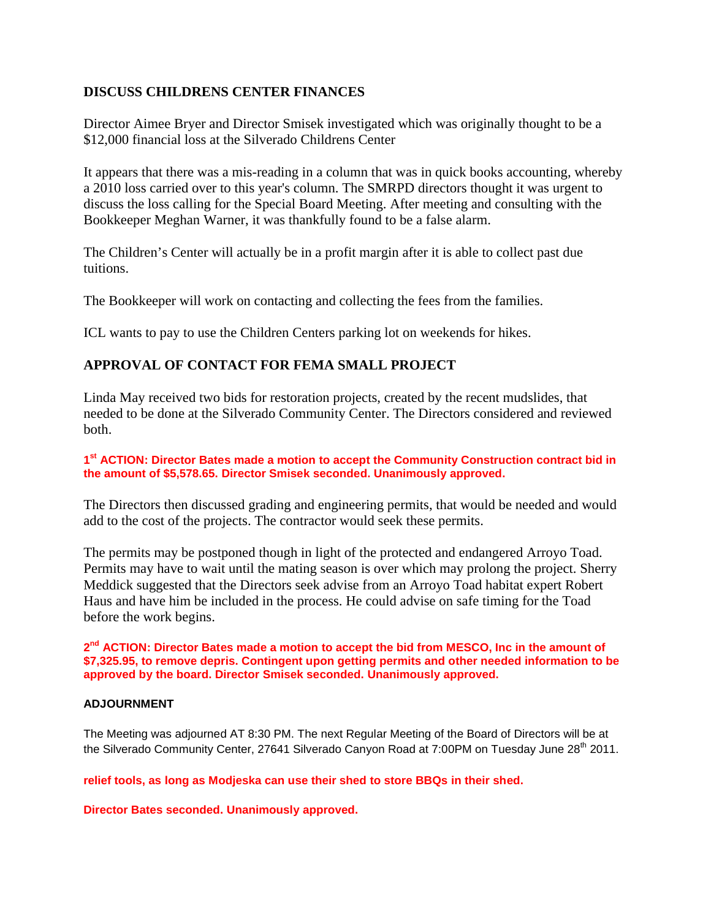# **DISCUSS CHILDRENS CENTER FINANCES**

Director Aimee Bryer and Director Smisek investigated which was originally thought to be a \$12,000 financial loss at the Silverado Childrens Center

It appears that there was a mis-reading in a column that was in quick books accounting, whereby a 2010 loss carried over to this year's column. The SMRPD directors thought it was urgent to discuss the loss calling for the Special Board Meeting. After meeting and consulting with the Bookkeeper Meghan Warner, it was thankfully found to be a false alarm.

The Children's Center will actually be in a profit margin after it is able to collect past due tuitions.

The Bookkeeper will work on contacting and collecting the fees from the families.

ICL wants to pay to use the Children Centers parking lot on weekends for hikes.

# **APPROVAL OF CONTACT FOR FEMA SMALL PROJECT**

Linda May received two bids for restoration projects, created by the recent mudslides, that needed to be done at the Silverado Community Center. The Directors considered and reviewed both.

### **1st ACTION: Director Bates made a motion to accept the Community Construction contract bid in the amount of \$5,578.65. Director Smisek seconded. Unanimously approved.**

The Directors then discussed grading and engineering permits, that would be needed and would add to the cost of the projects. The contractor would seek these permits.

The permits may be postponed though in light of the protected and endangered Arroyo Toad. Permits may have to wait until the mating season is over which may prolong the project. Sherry Meddick suggested that the Directors seek advise from an Arroyo Toad habitat expert Robert Haus and have him be included in the process. He could advise on safe timing for the Toad before the work begins.

2<sup>nd</sup> ACTION: Director Bates made a motion to accept the bid from MESCO, Inc in the amount of **\$7,325.95, to remove depris. Contingent upon getting permits and other needed information to be approved by the board. Director Smisek seconded. Unanimously approved.**

### **ADJOURNMENT**

The Meeting was adjourned AT 8:30 PM. The next Regular Meeting of the Board of Directors will be at the Silverado Community Center, 27641 Silverado Canyon Road at 7:00PM on Tuesday June 28<sup>th</sup> 2011.

**relief tools, as long as Modjeska can use their shed to store BBQs in their shed.**

**Director Bates seconded. Unanimously approved.**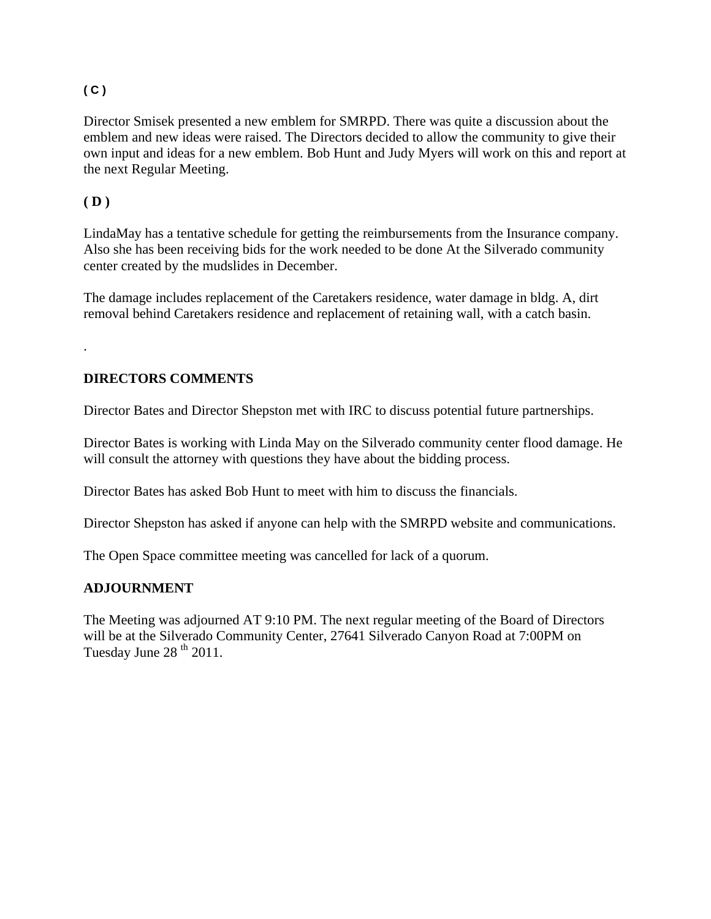# **( C )**

Director Smisek presented a new emblem for SMRPD. There was quite a discussion about the emblem and new ideas were raised. The Directors decided to allow the community to give their own input and ideas for a new emblem. Bob Hunt and Judy Myers will work on this and report at the next Regular Meeting.

# **( D )**

.

LindaMay has a tentative schedule for getting the reimbursements from the Insurance company. Also she has been receiving bids for the work needed to be done At the Silverado community center created by the mudslides in December.

The damage includes replacement of the Caretakers residence, water damage in bldg. A, dirt removal behind Caretakers residence and replacement of retaining wall, with a catch basin.

# **DIRECTORS COMMENTS**

Director Bates and Director Shepston met with IRC to discuss potential future partnerships.

Director Bates is working with Linda May on the Silverado community center flood damage. He will consult the attorney with questions they have about the bidding process.

Director Bates has asked Bob Hunt to meet with him to discuss the financials.

Director Shepston has asked if anyone can help with the SMRPD website and communications.

The Open Space committee meeting was cancelled for lack of a quorum.

# **ADJOURNMENT**

The Meeting was adjourned AT 9:10 PM. The next regular meeting of the Board of Directors will be at the Silverado Community Center, 27641 Silverado Canyon Road at 7:00PM on Tuesday June  $28<sup>th</sup> 2011$ .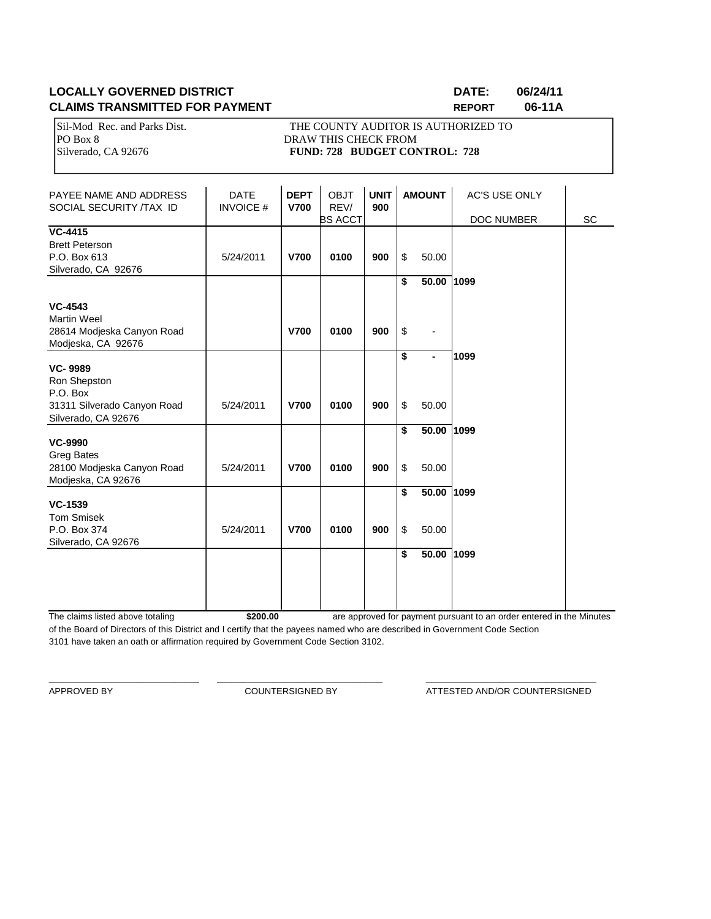# **LOCALLY GOVERNED DISTRICT DATE: 06/24/11 CLAIMS TRANSMITTED FOR PAYMENT <b>REPORT** REPORT 06-11A

PO Box 8 DRAW THIS CHECK FROM<br>Silverado, CA 92676 **PUND: 728 BUDGET CON** 

Sil-Mod Rec. and Parks Dist. THE COUNTY AUDITOR IS AUTHORIZED TO<br>PO Box 8 Silverado, CA 92676 **FUND: 728 BUDGET CONTROL: 728** 

| PAYEE NAME AND ADDRESS<br>SOCIAL SECURITY /TAX ID                                                | <b>DATE</b><br><b>INVOICE #</b> | <b>DEPT</b><br><b>V700</b> | <b>OBJT</b><br>REV/<br><b>BS ACCT</b> | <b>UNIT</b><br>900 |          | <b>AMOUNT</b>           | <b>AC'S USE ONLY</b><br>DOC NUMBER | SC |
|--------------------------------------------------------------------------------------------------|---------------------------------|----------------------------|---------------------------------------|--------------------|----------|-------------------------|------------------------------------|----|
| <b>VC-4415</b><br><b>Brett Peterson</b><br>P.O. Box 613<br>Silverado, CA 92676                   | 5/24/2011                       | <b>V700</b>                | 0100                                  | 900                | \$       | 50.00                   |                                    |    |
| <b>VC-4543</b><br><b>Martin Weel</b><br>28614 Modjeska Canyon Road<br>Modjeska, CA 92676         |                                 | <b>V700</b>                | 0100                                  | 900                | \$<br>\$ | 50.00 1099              |                                    |    |
| <b>VC-9989</b><br>Ron Shepston<br>P.O. Box<br>31311 Silverado Canyon Road<br>Silverado, CA 92676 | 5/24/2011                       | <b>V700</b>                | 0100                                  | 900                | \$<br>\$ | $\blacksquare$<br>50.00 | 1099                               |    |
| <b>VC-9990</b><br>Greg Bates<br>28100 Modjeska Canyon Road<br>Modjeska, CA 92676                 | 5/24/2011                       | <b>V700</b>                | 0100                                  | 900                | \$<br>\$ | 50.00 1099<br>50.00     |                                    |    |
| <b>VC-1539</b><br><b>Tom Smisek</b><br>P.O. Box 374<br>Silverado, CA 92676                       | 5/24/2011                       | <b>V700</b>                | 0100                                  | 900                | \$<br>\$ | 50.00 1099<br>50.00     |                                    |    |
|                                                                                                  |                                 |                            |                                       |                    | \$       | 50.00 1099              |                                    |    |

The claims listed above totaling **\$200.00** of the Board of Directors of this District and I certify that the payees named who are described in Government Code Section 3101 have taken an oath or affirmation required by Government Code Section 3102. are approved for payment pursuant to an order entered in the Minutes

\_\_\_\_\_\_\_\_\_\_\_\_\_\_\_\_\_\_\_\_\_\_\_\_\_\_\_\_\_\_ \_\_\_\_\_\_\_\_\_\_\_\_\_\_\_\_\_\_\_\_\_\_\_\_\_\_\_\_\_\_\_\_\_ \_\_\_\_\_\_\_\_\_\_\_\_\_\_\_\_\_\_\_\_\_\_\_\_\_\_\_\_\_\_\_\_\_\_

APPROVED BY COUNTERSIGNED BY ATTESTED AND/OR COUNTERSIGNED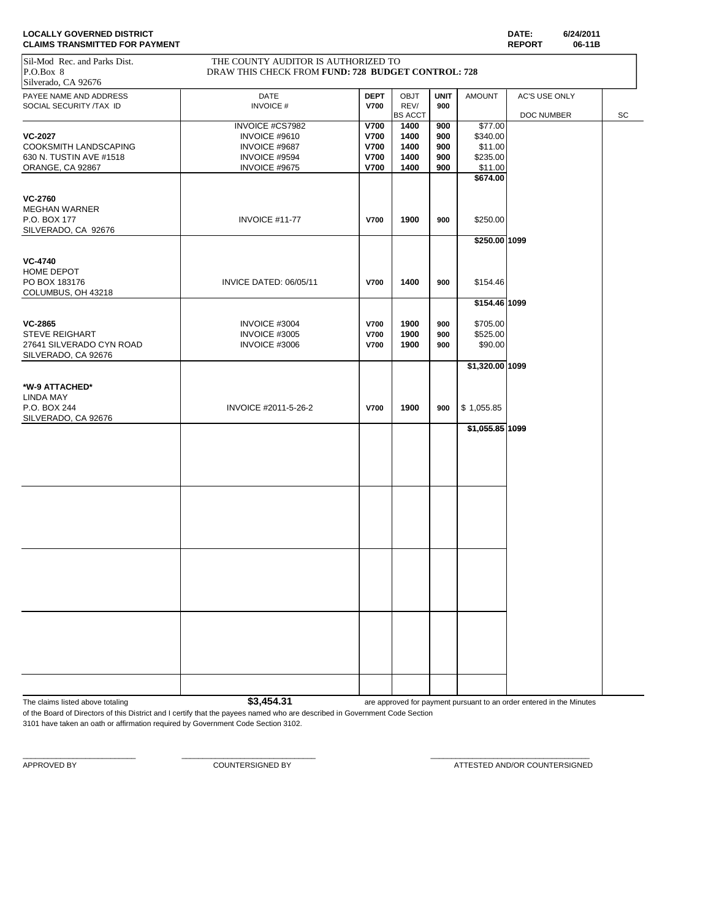| <b>LOCALLY GOVERNED DISTRICT</b>      | <b>DATE:</b> | 6/24/2011 |
|---------------------------------------|--------------|-----------|
| <b>CLAIMS TRANSMITTED FOR PAYMENT</b> | <b>REPOR</b> | 06-11B    |

| <b>CLAIMS TRANSMITTED FOR PAYMENT</b> |                                                    |             |                |             |                 | <b>REPORT</b> | 06-11B |    |
|---------------------------------------|----------------------------------------------------|-------------|----------------|-------------|-----------------|---------------|--------|----|
| Sil-Mod Rec. and Parks Dist.          | THE COUNTY AUDITOR IS AUTHORIZED TO                |             |                |             |                 |               |        |    |
| P.O.Box 8                             | DRAW THIS CHECK FROM FUND: 728 BUDGET CONTROL: 728 |             |                |             |                 |               |        |    |
| Silverado, CA 92676                   |                                                    |             |                |             |                 |               |        |    |
| PAYEE NAME AND ADDRESS                | <b>DATE</b>                                        | <b>DEPT</b> | <b>OBJT</b>    | <b>UNIT</b> | <b>AMOUNT</b>   | AC'S USE ONLY |        |    |
| SOCIAL SECURITY /TAX ID               | <b>INVOICE#</b>                                    | <b>V700</b> | REV/           | 900         |                 |               |        |    |
|                                       |                                                    |             | <b>BS ACCT</b> |             |                 | DOC NUMBER    |        | SC |
|                                       | INVOICE #CS7982                                    | <b>V700</b> | 1400           | 900         | \$77.00         |               |        |    |
| <b>VC-2027</b>                        | INVOICE #9610                                      | <b>V700</b> | 1400           | 900         | \$340.00        |               |        |    |
| COOKSMITH LANDSCAPING                 | INVOICE #9687                                      | <b>V700</b> | 1400           | 900         | \$11.00         |               |        |    |
| 630 N. TUSTIN AVE #1518               | INVOICE #9594                                      | <b>V700</b> | 1400           | 900         | \$235.00        |               |        |    |
| ORANGE, CA 92867                      | INVOICE #9675                                      | <b>V700</b> | 1400           | 900         | \$11.00         |               |        |    |
|                                       |                                                    |             |                |             | \$674.00        |               |        |    |
|                                       |                                                    |             |                |             |                 |               |        |    |
| <b>VC-2760</b>                        |                                                    |             |                |             |                 |               |        |    |
| <b>MEGHAN WARNER</b>                  |                                                    |             |                |             |                 |               |        |    |
| P.O. BOX 177                          | INVOICE #11-77                                     | V700        | 1900           | 900         | \$250.00        |               |        |    |
| SILVERADO, CA 92676                   |                                                    |             |                |             |                 |               |        |    |
|                                       |                                                    |             |                |             | \$250.00 1099   |               |        |    |
| <b>VC-4740</b>                        |                                                    |             |                |             |                 |               |        |    |
| HOME DEPOT                            |                                                    |             |                |             |                 |               |        |    |
| PO BOX 183176                         | INVICE DATED: 06/05/11                             | V700        | 1400           | 900         | \$154.46        |               |        |    |
| COLUMBUS, OH 43218                    |                                                    |             |                |             |                 |               |        |    |
|                                       |                                                    |             |                |             | \$154.46 1099   |               |        |    |
|                                       |                                                    |             |                |             |                 |               |        |    |
| <b>VC-2865</b>                        | INVOICE #3004                                      | V700        | 1900           | 900         | \$705.00        |               |        |    |
| <b>STEVE REIGHART</b>                 | INVOICE #3005                                      | V700        | 1900           | 900         | \$525.00        |               |        |    |
| 27641 SILVERADO CYN ROAD              | INVOICE #3006                                      | V700        | 1900           | 900         | \$90.00         |               |        |    |
| SILVERADO, CA 92676                   |                                                    |             |                |             |                 |               |        |    |
|                                       |                                                    |             |                |             | \$1,320.00 1099 |               |        |    |
|                                       |                                                    |             |                |             |                 |               |        |    |
| *W-9 ATTACHED*                        |                                                    |             |                |             |                 |               |        |    |
| <b>LINDA MAY</b>                      |                                                    |             |                |             |                 |               |        |    |
| P.O. BOX 244                          | INVOICE #2011-5-26-2                               | V700        | 1900           | 900         | \$1,055.85      |               |        |    |
| SILVERADO, CA 92676                   |                                                    |             |                |             |                 |               |        |    |
|                                       |                                                    |             |                |             | \$1,055.85 1099 |               |        |    |
|                                       |                                                    |             |                |             |                 |               |        |    |
|                                       |                                                    |             |                |             |                 |               |        |    |
|                                       |                                                    |             |                |             |                 |               |        |    |
|                                       |                                                    |             |                |             |                 |               |        |    |
|                                       |                                                    |             |                |             |                 |               |        |    |
|                                       |                                                    |             |                |             |                 |               |        |    |
|                                       |                                                    |             |                |             |                 |               |        |    |
|                                       |                                                    |             |                |             |                 |               |        |    |
|                                       |                                                    |             |                |             |                 |               |        |    |
|                                       |                                                    |             |                |             |                 |               |        |    |
|                                       |                                                    |             |                |             |                 |               |        |    |
|                                       |                                                    |             |                |             |                 |               |        |    |
|                                       |                                                    |             |                |             |                 |               |        |    |
|                                       |                                                    |             |                |             |                 |               |        |    |
|                                       |                                                    |             |                |             |                 |               |        |    |
|                                       |                                                    |             |                |             |                 |               |        |    |
|                                       |                                                    |             |                |             |                 |               |        |    |
|                                       |                                                    |             |                |             |                 |               |        |    |
|                                       |                                                    |             |                |             |                 |               |        |    |
|                                       |                                                    |             |                |             |                 |               |        |    |
|                                       |                                                    |             |                |             |                 |               |        |    |
|                                       |                                                    |             |                |             |                 |               |        |    |
|                                       |                                                    |             |                |             |                 |               |        |    |

The claims listed above totaling **\$3,454.31** are approved for payment pursuant to an order entered in the Minutes

of the Board of Directors of this District and I certify that the payees named who are described in Government Code Section 3101 have taken an oath or affirmation required by Government Code Section 3102.

\_\_\_\_\_\_\_\_\_\_\_\_\_\_\_\_\_\_\_\_\_\_\_\_\_\_\_ \_\_\_\_\_\_\_\_\_\_\_\_\_\_\_\_\_\_\_\_\_\_\_\_\_\_\_\_\_\_\_\_ \_\_\_\_\_\_\_\_\_\_\_\_\_\_\_\_\_\_\_\_\_\_\_\_\_\_\_\_\_\_\_\_\_\_\_\_\_\_

APPROVED BY **COUNTERSIGNED BY COUNTERSIGNED BY ATTESTED AND/OR COUNTERSIGNED**